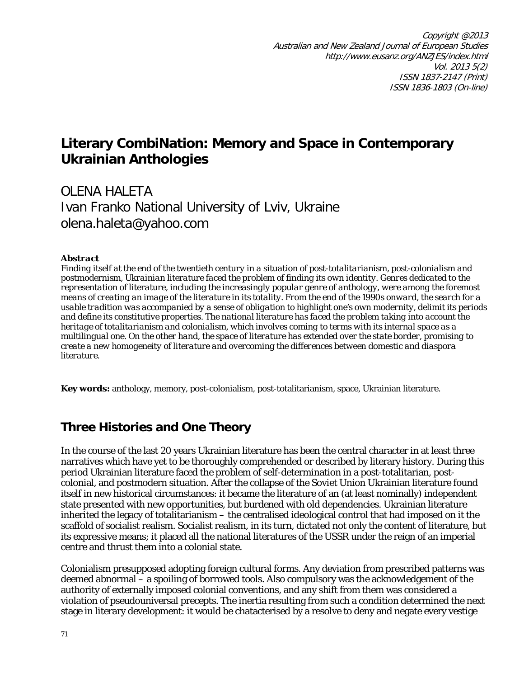# **Literary CombiNation: Memory and Space in Contemporary Ukrainian Anthologies**

# OLENA HALETA Ivan Franko National University of Lviv, Ukraine olena.haleta@yahoo.com

### *Abstract*

*Finding itself at the end of the twentieth century in a situation of post-totalitarianism, post-colonialism and postmodernism, Ukrainian literature faced the problem of finding its own identity. Genres dedicated to the representation of literature, including the increasingly popular genre of anthology, were among the foremost means of creating an image of the literature in its totality. From the end of the 1990s onward, the search for a usable tradition was accompanied by a sense of obligation to highlight one's own modernity, delimit its periods and define its constitutive properties. The national literature has faced the problem taking into account the heritage of totalitarianism and colonialism, which involves coming to terms with its internal space as a multilingual one. On the other hand, the space of literature has extended over the state border, promising to create a new homogeneity of literature and overcoming the differences between domestic and diaspora literature.*

**Key words:** anthology, memory, post-colonialism, post-totalitarianism, space, Ukrainian literature.

## **Three Histories and One Theory**

In the course of the last 20 years Ukrainian literature has been the central character in at least three narratives which have yet to be thoroughly comprehended or described by literary history. During this period Ukrainian literature faced the problem of self-determination in a post-totalitarian, postcolonial, and postmodern situation. After the collapse of the Soviet Union Ukrainian literature found itself in new historical circumstances: it became the literature of an (at least nominally) independent state presented with new opportunities, but burdened with old dependencies. Ukrainian literature inherited the legacy of totalitarianism – the centralised ideological control that had imposed on it the scaffold of socialist realism. Socialist realism, in its turn, dictated not only the content of literature, but its expressive means; it placed all the national literatures of the USSR under the reign of an imperial centre and thrust them into a colonial state.

Colonialism presupposed adopting foreign cultural forms. Any deviation from prescribed patterns was deemed abnormal – a spoiling of borrowed tools. Also compulsory was the acknowledgement of the authority of externally imposed colonial conventions, and any shift from them was considered a violation of pseudouniversal precepts. The inertia resulting from such a condition determined the next stage in literary development: it would be chatacterised by a resolve to deny and negate every vestige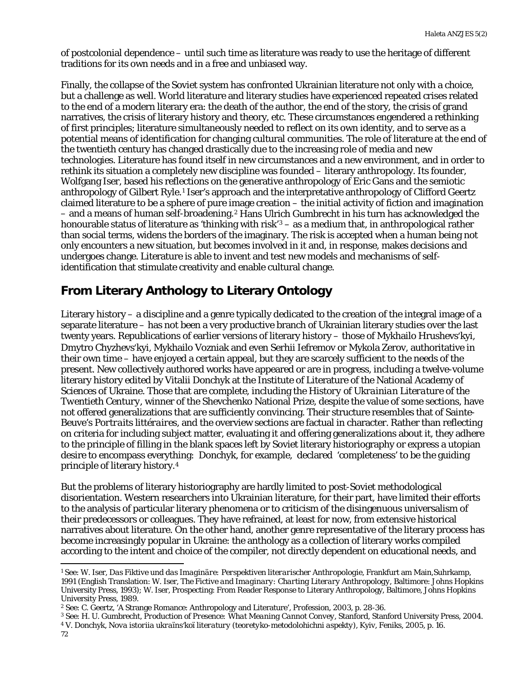of postcolonial dependence – until such time as literature was ready to use the heritage of different traditions for its own needs and in a free and unbiased way.

Finally, the collapse of the Soviet system has confronted Ukrainian literature not only with a choice, but a challenge as well. World literature and literary studies have experienced repeated crises related to the end of a modern literary era: the death of the author, the end of the story, the crisis of grand narratives, the crisis of literary history and theory, etc. These circumstances engendered a rethinking of first principles; literature simultaneously needed to reflect on its own identity, and to serve as a potential means of identification for changing cultural communities. The role of literature at the end of the twentieth century has changed drastically due to the increasing role of media and new technologies. Literature has found itself in new circumstances and a new environment, and in order to rethink its situation a completely new discipline was founded – literary anthropology. Its founder, Wolfgang Iser, based his reflections on the generative anthropology of Eric Gans and the semiotic anthropology of Gilbert Ryle.[1](#page-1-0) Iser's approach and the interpretative anthropology of Clifford Geertz claimed literature to be a sphere of pure image creation – the initial activity of fiction and imagination – and a means of human self-broadening.[2](#page-1-1) Hans Ulrich Gumbrecht in his turn has acknowledged the honourable status of literature as 'thinking with risk'<sup>[3](#page-1-2)</sup> – as a medium that, in anthropological rather than social terms, widens the borders of the imaginary. The risk is accepted when a human being not only encounters a new situation, but becomes involved in it and, in response, makes decisions and undergoes change. Literature is able to invent and test new models and mechanisms of selfidentification that stimulate creativity and enable cultural change.

## **From Literary Anthology to Literary Ontology**

Literary history – a discipline and a genre typically dedicated to the creation of the integral image of a separate literature – has not been a very productive branch of Ukrainian literary studies over the last twenty years. Republications of earlier versions of literary history – those of Mykhailo Hrushevsʹkyi, Dmytro Chyzhevsʹkyi, Mykhailo Vozniak and even Serhii Iefremov or Mykola Zerov, authoritative in their own time – have enjoyed a certain appeal, but they are scarcely sufficient to the needs of the present. New collectively authored works have appeared or are in progress, including a twelve-volume literary history edited by Vitalii Donchyk at the Institute of Literature of the National Academy of Sciences of Ukraine. Those that are complete, including the *History of Ukrainian Literature of the Twentieth Century*, winner of the Shevchenko National Prize, despite the value of some sections, have not offered generalizations that are sufficiently convincing. Their structure resembles that of Sainte-Beuve's *Portraits littéraires*, and the overview sections are factual in character. Rather than reflecting on criteria for including subject matter, evaluating it and offering generalizations about it, they adhere to the principle of filling in the blank spaces left by Soviet literary historiography or express a utopian desire to encompass everything: Donchyk, for example, declared 'completeness' to be the guiding principle of literary history.[4](#page-1-3)

But the problems of literary historiography are hardly limited to post-Soviet methodological disorientation. Western researchers into Ukrainian literature, for their part, have limited their efforts to the analysis of particular literary phenomena or to criticism of the disingenuous universalism of their predecessors or colleagues. They have refrained, at least for now, from extensive historical narratives about literature. On the other hand, another genre representative of the literary process has become increasingly popular in Ukraine: the anthology as a collection of literary works compiled according to the intent and choice of the compiler, not directly dependent on educational needs, and

l

<span id="page-1-2"></span><sup>3</sup> See: H. U. Gumbrecht, *Production of Presence: What Meaning Cannot Convey*, Stanford, Stanford University Press, 2004.

<span id="page-1-3"></span><sup>4</sup> V. Donchyk, *Nova istoriia ukraïnsʹkoï literatury (teoretyko-metodolohichni aspekty)*, Kyiv, Feniks, 2005, p. 16. 72

<span id="page-1-0"></span><sup>1</sup> See: W. Iser, *Das Fiktive und das Imaginäre: Perspektiven literarischer Anthropologie*, Frankfurt am Main,Suhrkamp, 1991 (English Translation: W. Iser, *The Fictive and Imaginary: Charting Literary Anthropology*, Baltimore: Johns Hopkins University Press, 1993); W. Iser, Prospecting: From Reader Response to Literary Anthropology, Baltimore, Johns Hopkins University Press, 1989.

<span id="page-1-1"></span><sup>2</sup> See: C. Geertz, 'A Strange Romance: Anthropology and Literature', *Profession*, 2003, p. 28-36.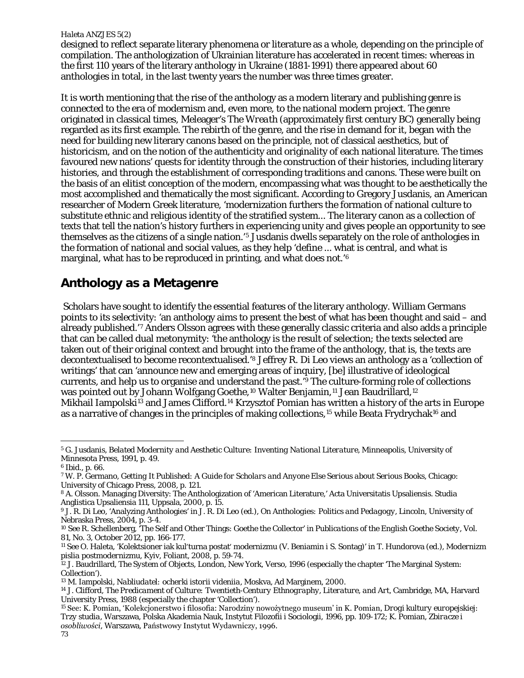designed to reflect separate literary phenomena or literature as a whole, depending on the principle of compilation. The anthologization of Ukrainian literature has accelerated in recent times: whereas in the first 110 years of the literary anthology in Ukraine (1881-1991) there appeared about 60 anthologies in total, in the last twenty years the number was three times greater.

It is worth mentioning that the rise of the anthology as a modern literary and publishing genre is connected to the era of modernism and, even more, to the national modern project. The genre originated in classical times, Meleager's *The Wreath* (approximately first century BC) generally being regarded as its first example. The rebirth of the genre, and the rise in demand for it, began with the need for building new literary canons based on the principle, not of classical aesthetics, but of historicism, and on the notion of the authenticity and originality of each national literature. The times favoured new nations' quests for identity through the construction of their histories, including literary histories, and through the establishment of corresponding traditions and canons. These were built on the basis of an elitist conception of the modern, encompassing what was thought to be aesthetically the most accomplished and thematically the most significant. According to Gregory Jusdanis, an American researcher of Modern Greek literature, 'modernization furthers the formation of national culture to substitute ethnic and religious identity of the stratified system... The literary canon as a collection of texts that tell the nation's history furthers in experiencing unity and gives people an opportunity to see themselves as the citizens of a single nation.'[5](#page-2-0) Jusdanis dwells separately on the role of anthologies in the formation of national and social values, as they help 'define ... what is central, and what is marginal, what has to be reproduced in printing, and what does not.'[6](#page-2-1)

### **Anthology as a Metagenre**

Scholars have sought to identify the essential features of the literary anthology. William Germans points to its selectivity: 'an anthology aims to present the best of what has been thought and said – and already published.'[7](#page-2-2) Anders Olsson agrees with these generally classic criteria and also adds a principle that can be called dual metonymity: 'the anthology is the result of selection; the texts selected are taken out of their original context and brought into the frame of the anthology, that is, the texts are decontextualised to become recontextualised.['8](#page-2-3) Jeffrey R. Di Leo views an anthology as a 'collection of writings' that can 'announce new and emerging areas of inquiry, [be] illustrative of ideological currents, and help us to organise and understand the past.' [9](#page-2-4) The culture-forming role of collections was pointed out by Johann Wolfgang Goethe,<sup>[10](#page-2-5)</sup> Walter Benjamin,<sup>[11](#page-2-6)</sup> Jean Baudrillard,<sup>[12](#page-2-7)</sup> Mikhail Iampolski<sup>13</sup> and James Clifford.<sup>14</sup> Krzysztof Pomian has written a history of the arts in Europe as a narrative of changes in the principles of making collections,<sup>[15](#page-2-10)</sup> while Beata Frydrychak<sup>[16](#page-2-11)</sup> and

<span id="page-2-0"></span><sup>5</sup> G. Jusdanis, *Belated Modernity and Aesthetic Culture: Inventing National Literature*, Minneapolis, University of Minnesota Press, 1991, p. 49. l

<span id="page-2-1"></span><sup>6</sup> Ibid., p. 66.

<span id="page-2-2"></span><sup>7</sup> W. P. Germano, *Getting It Published: A Guide for Scholars and Anyone Else Serious about Serious Books*, Chicago: University of Chicago Press, 2008, p. 121.

<span id="page-2-3"></span><sup>8</sup> A. Olsson. Managing Diversity: The Anthologization of 'American Literature,' Acta Universitatis Upsaliensis. Studia Anglistica Upsaliensia 111, Uppsala, 2000, p. 15.

<span id="page-2-4"></span><sup>9</sup> J. R. Di Leo, 'Analyzing Anthologies' in J. R. Di Leo (ed.), *On Anthologies: Politics and Pedagogy*, Lincoln, University of

<span id="page-2-5"></span>Nebraska Press, 2004, p. 3-4.<br><sup>10</sup> See R. Schellenberg, 'The Self and Other Things: Goethe the Collector' in *Publications of the English Goethe Society*, Vol. 81, No. 3, October 2012, pp. 166-177.

<span id="page-2-6"></span><sup>11</sup> See O. Haleta, 'Kolektsioner iak kulʹturna postatʹ modernizmu (V. Beniamin i S. Sontag)' in T. Hundorova (ed.), *Modernizm pislia postmodernizmu*, Kyiv, Foliant, 2008, p. 59-74.

<span id="page-2-11"></span><span id="page-2-7"></span><sup>12</sup> J. Baudrillard, *The System of Objects*, London, New York, Verso, 1996 (especially the chapter 'The Marginal System: Collection').

<span id="page-2-8"></span><sup>13</sup> M. Iampolski, *Nabliudatel: ocherki istorii videniia*, Moskva, Ad Marginem, 2000.

<span id="page-2-9"></span><sup>14</sup> J. Clifford, *The Predicament of Culture: Twentieth-Century Ethnography, Literature, and Art*, Cambridge, MA, Harvard University Press, 1988 (especially the chapter 'Collection').

<span id="page-2-10"></span><sup>15</sup> See: K. Pomian, 'Kolekcjonerstwo i filosofia: Narodziny nowożytnego museum' in K. Pomian, *Drogi kultury europejskiej: Trzy studia*, Warszawa, Polska Akademia Nauk, Instytut Filozofii i Sociologii, 1996, pp. 109-172; K. Pomian, *Zbiracze i osobliwości*, Warszawa, Państwowy Instytut Wydawniczy, 1996. 73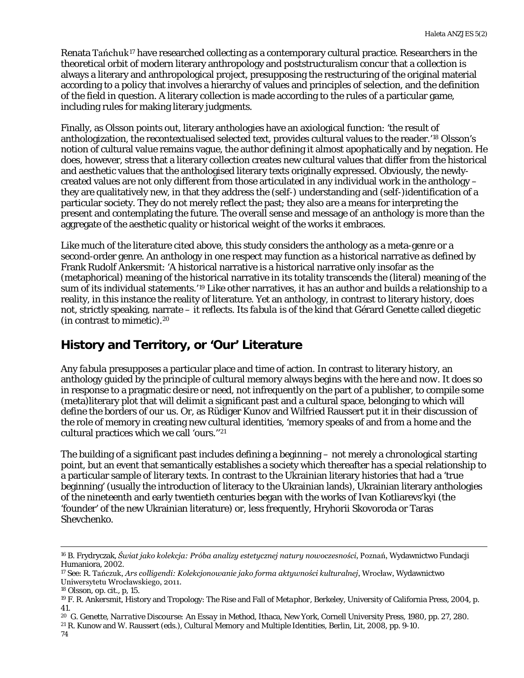Renata Tańchuk[17](#page-3-0) have researched collecting as a contemporary cultural practice. Researchers in the theoretical orbit of modern literary anthropology and poststructuralism concur that a collection is always a literary and anthropological project, presupposing the restructuring of the original material according to a policy that involves a hierarchy of values and principles of selection, and the definition of the field in question. A literary collection is made according to the rules of a particular game, including rules for making literary judgments.

Finally, as Olsson points out, literary anthologies have an axiological function: 'the result of anthologization, the recontextualised selected text, provides cultural values to the reader.['18](#page-3-1) Olsson's notion of cultural value remains vague, the author defining it almost apophatically and by negation. He does, however, stress that a literary collection creates new cultural values that differ from the historical and aesthetic values that the anthologised literary texts originally expressed. Obviously, the newlycreated values are not only different from those articulated in any individual work in the anthology – they are qualitatively new, in that they address the (self-) understanding and (self-)identification of a particular society. They do not merely reflect the past; they also are a means for interpreting the present and contemplating the future. The overall sense and message of an anthology is more than the aggregate of the aesthetic quality or historical weight of the works it embraces.

Like much of the literature cited above, this study considers the anthology as a meta-genre or a second-order genre. An anthology in one respect may function as a historical narrative as defined by Frank Rudolf Ankersmit: 'A historical narrative is a historical narrative only insofar as the (metaphorical) meaning of the historical narrative in its totality transcends the (literal) meaning of the sum of its individual statements.'[19](#page-3-2) Like other narratives, it has an author and builds a relationship to a reality, in this instance the reality of literature. Yet an anthology, in contrast to literary history, does not, strictly speaking, narrate – it reflects. Its *fabula* is of the kind that Gérard Genette called *diegetic* (in contrast to *mimetic*)*.*[20](#page-3-3)

## **History and Territory, or 'Our' Literature**

Any *fabula* presupposes a particular place and time of action. In contrast to literary history, an anthology guided by the principle of cultural memory always begins with the *here and now*. It does so in response to a pragmatic desire or need, not infrequently on the part of a publisher, to compile some (meta)literary plot that will delimit a significant past and a cultural space, belonging to which will define the borders of *our us*. Or, as Rüdiger Kunov and Wilfried Raussert put it in their discussion of the role of memory in creating new cultural identities, 'memory speaks of and from a home and the cultural practices which we call 'ours.''[21](#page-3-4)

The building of a significant past includes defining a beginning – not merely a chronological starting point, but an event that semantically establishes a society which thereafter has a special relationship to a particular sample of literary texts. In contrast to the Ukrainian literary histories that had a 'true beginning' (usually the introduction of literacy to the Ukrainian lands), Ukrainian literary anthologies of the nineteenth and early twentieth centuries began with the works of Ivan Kotliarevsʹkyi (the 'founder' of the new Ukrainian literature) or, less frequently, Hryhorii Skovoroda or Taras Shevchenko.

<span id="page-3-4"></span><sup>21</sup> R. Kunow and W. Raussert (eds.), *Cultural Memory and Multiple Identities*, Berlin, Lit, 2008, pp. 9-10.

<sup>16</sup> B. Frydryczak, *Świat jako kolekcja: Próba analizy estetycznej natury nowoczesności*, Poznań, Wydawnictwo Fundacji Humaniora, 2002.

<span id="page-3-0"></span><sup>17</sup> See: R. Tańczuk, *Ars colligendi: Kolekcjonowanie jako forma aktywności kulturalnej*, Wrocław, Wydawnictwo Uniwersytetu Wrocławskiego, 2011.

<span id="page-3-1"></span><sup>18</sup> Olsson, op. cit., p, 15.

<span id="page-3-2"></span><sup>19</sup> F. R. Ankersmit, History and Tropology: The Rise and Fall of *Metaphor*, Berkeley, University of California Press, 2004, p. 41.

<span id="page-3-3"></span><sup>20</sup> [G. Genette,](http://en.wikipedia.org/wiki/Gerard_Genette) *Narrative Discourse: An Essay in Method*, Ithaca, New York, Cornell University Press, 1980, pp. 27, 280.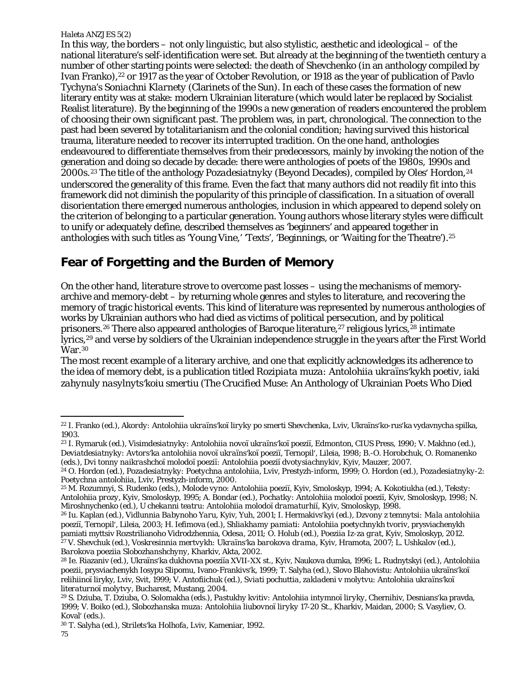In this way, the borders – not only linguistic, but also stylistic, aesthetic and ideological – of the national literature's self-identification were set. But already at the beginning of the twentieth century a number of other starting points were selected: the death of Shevchenko (in an anthology compiled by Ivan Franko),<sup>[22](#page-4-0)</sup> or 1917 as the year of October Revolution, or 1918 as the year of publication of Pavlo Tychyna's *Soniachni Klarnety* (Clarinets of the Sun). In each of these cases the formation of new literary entity was at stake: modern Ukrainian literature (which would later be replaced by Socialist Realist literature). By the beginning of the 1990s a new generation of readers encountered the problem of choosing their own significant past*.* The problem was, in part, chronological. The connection to the past had been severed by totalitarianism and the colonial condition; having survived this historical trauma, literature needed to recover its interrupted tradition. On the one hand, anthologies endeavoured to differentiate themselves from their predecessors, mainly by invoking the notion of the generation and doing so decade by decade: there were anthologies of poets of the 1980s, 1990s and 2000s.[23](#page-4-1) The title of the anthology *Pozadesiatnyky* (Beyond Decades), compiled by Olesʹ Hordon,[24](#page-4-2) underscored the generality of this frame. Even the fact that many authors did not readily fit into this framework did not diminish the popularity of this principle of classification. In a situation of overall disorientation there emerged numerous anthologies, inclusion in which appeared to depend solely on the criterion of belonging to a particular generation. Young authors whose literary styles were difficult to unify or adequately define, described themselves as 'beginners' and appeared together in anthologies with such titles as 'Young Vine,' 'Texts', 'Beginnings, or 'Waiting for the Theatre').[25](#page-4-3)

## **Fear of Forgetting and the Burden of Memory**

On the other hand, literature strove to overcome past losses – using the mechanisms of memoryarchive and memory-debt – by returning whole genres and styles to literature, and recovering the memory of tragic historical events. This kind of literature was represented by numerous anthologies of works by Ukrainian authors who had died as victims of political persecution, and by political prisoners.<sup>[26](#page-4-4)</sup> There also appeared anthologies of Baroque literature,<sup>[27](#page-4-5)</sup> religious lyrics,<sup>[28](#page-4-6)</sup> intimate lyrics[,29](#page-4-7) and verse by soldiers of the Ukrainian independence struggle in the years after the First World  $\rm \dot{W}$ ar.<sup>[30](#page-4-8)</sup>

The most recent example of a literary archive, and one that explicitly acknowledges its adherence to the idea of memory debt, is a publication titled *Rozipiata muza: Antolohiia ukraïnsʹkykh poetiv*, *iaki zahynuly nasylnytsʹkoiu smertiu* (The Crucified Muse: An Anthology of Ukrainian Poets Who Died

<span id="page-4-1"></span><span id="page-4-0"></span><sup>22</sup> I. Franko (ed.), *Akordy: Antolohiia ukraïnsʹkoï liryky po smerti Shevchenka*, Lviv, Ukraïnsʹko-rusʹka vydavnycha spilka, 1903.

<span id="page-4-2"></span><sup>23</sup> I. Rymaruk (ed.), *Visimdesiatnyky: Antolohiia novoï ukraïnsʹkoï poeziï*, Edmonton, CIUS Press, 1990; V. Makhno (ed.), *Deviatdesiatnyky: Avtorsʹka antolohiia novoï ukraïnsʹkoï poeziï*, Ternopilʹ, Lileia, 1998; B.-O. Horobchuk, O. Romanenko (eds.), *Dvi tonny naikrashchoï molodoï poeziï: Antolohiia poeziï dvotysiachnykiv*, Kyiv, Mauzer, 2007.

<span id="page-4-3"></span><sup>24</sup> O. Hordon (ed.), *Pozadesiatnyky: Poetychna antolohiia*, Lviv, Prestyzh-inform, 1999; O. Hordon (ed.), *Pozadesiatnyky-2: Poetychna antolohiia*, Lviv, Prestyzh-inform, 2000.

<span id="page-4-4"></span><sup>25</sup> M. Rozumnyi, S. Rudenko (eds.), *Molode vyno: Antolohiia poeziï*, Kyiv, Smoloskyp, 1994; A. Kokotiukha (ed.), *Teksty: Antolohiia prozy*, Kyiv, Smoloskyp, 1995; A. Bondar (ed.), *Pochatky: Antolohiia molodoï poeziï*, Kyiv, Smoloskyp, 1998; N. Miroshnychenko (ed.), *U chekanni teatru: Antolohiia molodoï dramaturhiï*, Kyiv, Smoloskyp, 1998.

<sup>26</sup> Iu. Kaplan (ed.), *Vidlunnia Babynoho Yaru*, Kyiv, Yuh, 2001; I. Hermakivsʹkyi (ed.), *Dzvony z temnytsi: Mala antolohiia poeziï*, Ternopilʹ, Lileia, 2003; H. Iefimova (ed.), *Shliakhamy pamiati: Antolohiia poetychnykh tvoriv*, prysviachenykh pamiati myttsiv Rozstrilianoho Vidrodzhennia*, Odesa, 2011;* O. Holub (ed.), *Poeziia Iz-za grat*, Kyiv, Smoloskyp, 2012. <sup>27</sup> V. Shevchuk (ed.), *Voskresinnia mertvykh: Ukraïnsʹka barokova drama*, Kyiv, Hramota, 2007; L. Ushkalov (ed.), *Barokova poeziia Slobozhanshchyny*, Kharkiv, Akta, 2002.

<span id="page-4-6"></span><span id="page-4-5"></span><sup>&</sup>lt;sup>28</sup> Ie. Riazaniv (ed.), Ukraïns'ka dukhovna poeziïa XVII-XX st., Kyiv, Naukova dumka, 1996; L. Rudnytskyi (ed.), Antolohiia poezii, prysviachenykh Iosypu Slipomu, Ivano-Frankivsʹk, 1999; T. Salyha (ed.), Slovo Blahovistu: Antolohiia ukraïnsʹkoï relihiinoï liryky, Lviv, Svit, 1999; V. Antofiichuk (ed.), *Sviati pochuttia, zakladeni v molytvu: Antolohiia ukraïnsʹkoï literaturnoï molytvy*, Bucharest, Mustang, 2004.

<span id="page-4-7"></span><sup>29</sup> S. Dziuba, T. Dziuba, O. Solomakha (eds.), *Pastukhy kvitiv: Antolohiia intymnoï liryky*, Chernihiv, Desniansʹka pravda, 1999; V. Boiko (ed.), *Slobozhanska muza: Antolohiia liubovnoï liryky 17-20 St*., Kharkiv, Maidan, 2000; S. Vasyliev, O. Koval' (eds.).

<span id="page-4-8"></span><sup>30</sup> T. Salyha (ed.), *Striletsʹka Holhofa*, Lviv, Kameniar, 1992.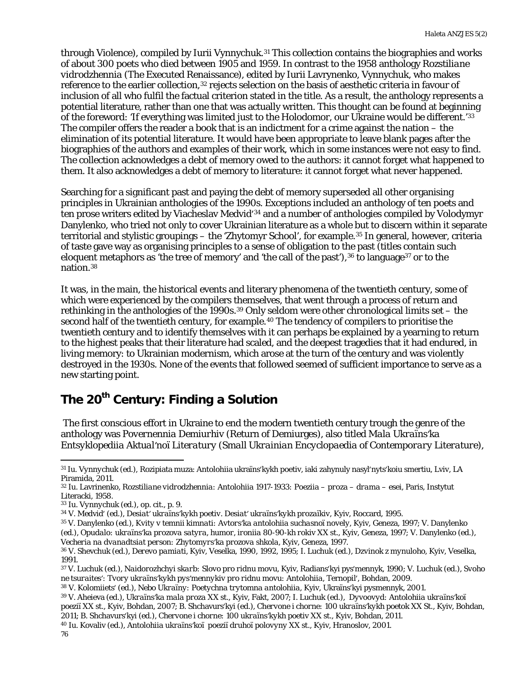through Violence), compiled by Iurii Vynnychuk.<sup>[31](#page-5-0)</sup> This collection contains the biographies and works of about 300 poets who died between 1905 and 1959. In contrast to the 1958 anthology *Rozstiliane vidrodzhennia* (The Executed Renaissance), edited by Iurii Lavrynenko, Vynnychuk, who makes reference to the earlier collection,[32](#page-5-1) rejects selection on the basis of aesthetic criteria in favour of inclusion of all who fulfil the factual criterion stated in the title. As a result, the anthology represents a potential literature, rather than one that was actually written. This thought can be found at beginning of the foreword: 'If everything was limited just to the Holodomor, our Ukraine would be different.' [33](#page-5-2) The compiler offers the reader a book that is an indictment for a crime against the nation – the elimination of its potential literature. It would have been appropriate to leave blank pages after the biographies of the authors and examples of their work, which in some instances were not easy to find. The collection acknowledges a debt of memory owed to the authors: it cannot forget what happened to them. It also acknowledges a debt of memory to literature: it cannot forget what never happened.

Searching for a significant past and paying the debt of memory superseded all other organising principles in Ukrainian anthologies of the 1990s. Exceptions included an anthology of ten poets and ten prose writers edited by Viacheslav Medvidʹ [34](#page-5-3) and a number of anthologies compiled by Volodymyr Danylenko, who tried not only to cover Ukrainian literature as a whole but to discern within it separate territorial and stylistic groupings – the 'Zhytomyr School', for example.[35](#page-5-4) In general, however, criteria of taste gave way as organising principles to a sense of obligation to the past (titles contain such eloquent metaphors as 'the tree of memory' and 'the call of the past'),  $36$  to language  $37$  or to the nation.[38](#page-5-7)

It was, in the main, the historical events and literary phenomena of the twentieth century, some of which were experienced by the compilers themselves, that went through a process of return and rethinking in the anthologies of the 1990s.[39](#page-5-8) Only seldom were other chronological limits set – the second half of the twentieth century, for example.<sup>[40](#page-5-9)</sup> The tendency of compilers to prioritise the twentieth century and to identify themselves with it can perhaps be explained by a yearning to return to the highest peaks that their literature had scaled, and the deepest tragedies that it had endured, in living memory: to Ukrainian modernism, which arose at the turn of the century and was violently destroyed in the 1930s. None of the events that followed seemed of sufficient importance to serve as a new starting point.

## **The 20th Century: Finding a Solution**

The first conscious effort in Ukraine to end the modern twentieth century trough the genre of the anthology was *Povernennia Demiurhiv* (Return of Demiurges), also titled *Mala Ukraïnsʹka Entsyklopediia Aktualʹnoï Literatury (Small Ukrainian Encyclopaedia of Contemporary Literature)*,

<span id="page-5-4"></span><sup>35</sup> V. Danylenko (ed.), *Kvity v temnii kimnati: Avtorsʹka antolohiia suchasnoï novely*, Kyiv, Geneza, 1997; V. Danylenko

(ed.), *Opudalo: ukraïnsʹka prozova satyra, humor, ironiia 80-90-kh rokiv XX st.*, Kyiv, Geneza, 1997; V. Danylenko (ed.), *Vecheria na dvanadtsiat person: Zhytomyrsʹka prozova shkola*, Kyiv, Geneza, 1997.

<span id="page-5-0"></span><sup>31</sup> *Iu. Vynnychuk (ed.),* Rozipiata muza: Antolohiia ukraïnsʹkykh poetiv, iaki zahynuly nasylʹnytsʹkoiu smertiu, Lviv, LA Piramida, 2011.

<span id="page-5-1"></span><sup>32</sup> Iu. Lavrinenko, *Rozstiliane vidrodzhennia: Antolohiia 1917-1933: Poeziia – proza – drama – esei*, Paris, Instytut Literacki, 1958.

<span id="page-5-2"></span><sup>33</sup> *Iu. Vynnychuk (ed.), op. cit., p. 9.*

<span id="page-5-3"></span><sup>34</sup> V. Medvidʹ (ed.), *Desiatʹ ukraïnsʹkykh poetiv. Desiatʹ ukraïnsʹkykh prozaïkiv*, Kyiv, Roccard, 1995.

<span id="page-5-5"></span><sup>36</sup> V. Shevchuk (ed.), *Derevo pamiati*, Kyiv, Veselka, 1990, 1992, 1995; I. Luchuk (ed.), *Dzvinok z mynuloho*, Kyiv, Veselka, 1991.

<span id="page-5-6"></span><sup>37</sup> V. Luchuk (ed.), *Naidorozhchyi skarb: Slovo pro ridnu movu*, Kyiv, Radiansʹkyi pysʹmennyk, 1990; V. Luchuk (ed.), *Svoho ne tsuraitesʹ: Tvory ukraïnsʹkykh pysʹmennykiv pro ridnu movu: Antolohiia*, Ternopilʹ, Bohdan, 2009.

<span id="page-5-7"></span><sup>38</sup> V. Kolomiietsʹ (ed.), *Nebo Ukraïny: Poetychna trytomna antolohiia*, Kyiv, Ukraïnsʹkyi pysmennyk, 2001.

<span id="page-5-8"></span><sup>39</sup> V. Aheieva (ed.), *Ukraïnsʹka mala proza XX st.*, Kyiv, Fakt, 2007; I. Luchuk (ed.), *Dyvoovyd: Antolohiia ukraïnsʹkoï poeziï XX st.*, Kyiv, Bohdan, 2007; B. Shchavursʹkyi (ed.), *Chervone i chorne: 100 ukraïnsʹkykh poetok XX St.*, Kyiv, Bohdan, 2011; B. Shchavursʹkyi (ed.), *Chervone i chorne: 100 ukraïnsʹkykh poetiv XX st.*, Kyiv, Bohdan, 2011.

<span id="page-5-9"></span><sup>40</sup> Iu. Kovaliv (ed.), *Antolohiia ukraïnsʹkoï poeziï druhoï polovyny XX st.*, Kyiv, Hranoslov, 2001.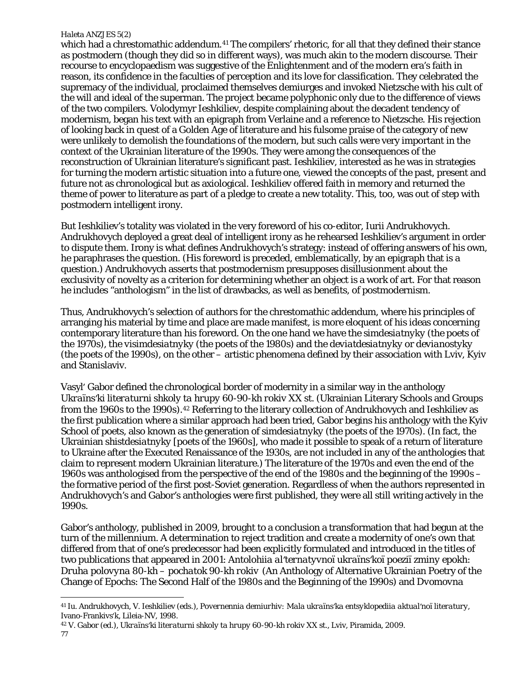$\overline{\phantom{a}}$ 

which had a chrestomathic addendum.<sup>[41](#page-6-0)</sup> The compilers' rhetoric, for all that they defined their stance as postmodern (though they did so in different ways), was much akin to the modern discourse. Their recourse to encyclopaedism was suggestive of the Enlightenment and of the modern era's faith in reason, its confidence in the faculties of perception and its love for classification. They celebrated the supremacy of the individual, proclaimed themselves demiurges and invoked Nietzsche with his cult of the will and ideal of the superman. The project became polyphonic only due to the difference of views of the two compilers. Volodymyr Ieshkiliev, despite complaining about the decadent tendency of modernism, began his text with an epigraph from Verlaine and a reference to Nietzsche. His rejection of looking back in quest of a Golden Age of literature and his fulsome praise of the category of new were unlikely to demolish the foundations of the modern, but such calls were very important in the context of the Ukrainian literature of the 1990s. They were among the consequences of the reconstruction of Ukrainian literature's significant past. Ieshkiliev, interested as he was in strategies for turning the modern artistic situation into a future one, viewed the concepts of the past, present and future not as chronological but as axiological. Ieshkiliev offered faith in memory and returned the theme of power to literature as part of a pledge to create a new totality. This, too, was out of step with postmodern intelligent irony.

But Ieshkiliev's totality was violated in the very foreword of his co-editor, Iurii Andrukhovych. Andrukhovych deployed a great deal of intelligent irony as he rehearsed Ieshkiliev's argument in order to dispute them. Irony is what defines Andrukhovych's strategy: instead of offering answers of his own, he paraphrases the question. (His foreword is preceded, emblematically, by an epigraph that is a question.) Andrukhovych asserts that postmodernism presupposes disillusionment about the exclusivity of novelty as a criterion for determining whether an object is a work of art. For that reason he includes "anthologism" in the list of drawbacks, as well as benefits, of postmodernism.

Thus, Andrukhovych's selection of authors for the chrestomathic addendum, where his principles of arranging his material by time and place are made manifest, is more eloquent of his ideas concerning contemporary literature than his foreword. On the one hand we have the *simdesiatnyky* (the poets of the 1970s), the *visimdesiatnyky* (the poets of the 1980s) and the *deviatdesiatnyky* or *devianostyky*  (the poets of the 1990s), on the other – artistic phenomena defined by their association with Lviv, Kyiv and Stanislaviv.

Vasylʹ Gabor defined the chronological border of modernity in a similar way in the anthology *Ukraïnsʹki literaturni shkoly ta hrupy 60-90-kh rokiv XX st.* (Ukrainian Literary Schools and Groups from the 1960s to the 1990s).<sup>[42](#page-6-1)</sup> Referring to the literary collection of Andrukhovych and Ieshkiliev as the first publication where a similar approach had been tried, Gabor begins his anthology with the Kyiv School of poets, also known as the generation of *simdesiatnyky* (the poets of the 1970s). (In fact, the Ukrainian *shistdesiatnyky* [poets of the 1960s], who made it possible to speak of a return of literature to Ukraine after the Executed Renaissance of the 1930s, are not included in any of the anthologies that claim to represent modern Ukrainian literature.) The literature of the 1970s and even the end of the 1960s was anthologised from the perspective of the end of the 1980s and the beginning of the 1990s – the formative period of the first post-Soviet generation. Regardless of when the authors represented in Andrukhovych's and Gabor's anthologies were first published, they were all still writing actively in the 1990s.

Gabor's anthology, published in 2009, brought to a conclusion a transformation that had begun at the turn of the millennium. A determination to reject tradition and create a modernity of one's own that differed from that of one's predecessor had been explicitly formulated and introduced in the titles of two publications that appeared in 2001: *Antolohiia alʹternatyvnoï ukraïnsʹkoï poeziï zminy epokh: Druha polovyna 80-kh – pochatok 90-kh rokiv* (An Anthology of Alternative Ukrainian Poetry of the Change of Epochs: The Second Half of the 1980s and the Beginning of the 1990s) and *Dvomovna* 

<span id="page-6-1"></span><sup>42</sup> V. Gabor (ed.), *Ukraïnsʹki literaturni shkoly ta hrupy 60-90-kh rokiv XX st.*, Lviv, Piramida, 2009. 77

<span id="page-6-0"></span><sup>41</sup> Iu. Andrukhovych, V. Ieshkiliev (eds.), *Povernennia demiurhiv: Mala ukraïnsʹka entsyklopediia aktualʹnoï literatury*, Ivano-Frankivsʹk, Lileia-NV, 1998.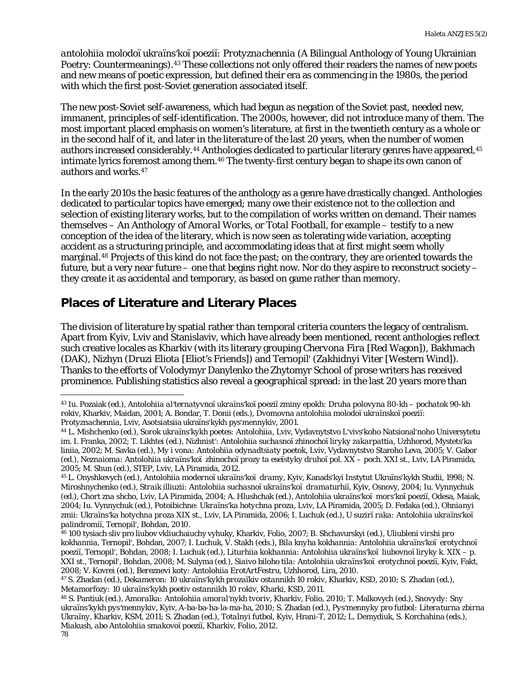*antolohiia molodoï ukraïnsʹkoï poeziï: Protyznachennia* (A Bilingual Anthology of Young Ukrainian Poetry: Countermeanings).[43](#page-7-0) These collections not only offered their readers the names of new poets and new means of poetic expression, but defined their era as commencing in the 1980s, the period with which the first post-Soviet generation associated itself.

The new post-Soviet self-awareness, which had begun as negation of the Soviet past, needed new, immanent, principles of self-identification. The 2000s, however, did not introduce many of them. The most important placed emphasis on women's literature, at first in the twentieth century as a whole or in the second half of it, and later in the literature of the last 20 years, when the number of women authors increased considerably.<sup>[44](#page-7-1)</sup> Anthologies dedicated to particular literary genres have appeared, <sup>[45](#page-7-2)</sup> intimate lyrics foremost among them.[46](#page-7-3) The twenty-first century began to shape its own canon of authors and works.[47](#page-7-4)

In the early 2010s the basic features of the anthology as a genre have drastically changed. Anthologies dedicated to particular topics have emerged; many owe their existence not to the collection and selection of existing literary works, but to the compilation of works written on demand. Their names themselves – *An Anthology of Amoral Works*, or *Total Football*, for example – testify to a new conception of the idea of the literary, which is now seen as tolerating wide variation, accepting accident as a structuring principle, and accommodating ideas that at first might seem wholly marginal.[48](#page-7-5) Projects of this kind do not face the past; on the contrary, they are oriented towards the future, but a very near future – one that begins right now. Nor do they aspire to reconstruct society – they create it as accidental and temporary, as based on game rather than memory.

### **Places of Literature and Literary Places**

 $\overline{\phantom{a}}$ 

The division of literature by spatial rather than temporal criteria counters the legacy of centralism. Apart from Kyiv, Lviv and Stanislaviv, which have already been mentioned, recent anthologies reflect such creative locales as Kharkiv (with its literary grouping *Chervona Fira* [Red Wagon]), Bakhmach (*DAK*), Nizhyn (*Druzi Eliota* [Eliot's Friends]) and Ternopilʹ (*Zakhidnyi Viter* [Western Wind]). Thanks to the efforts of Volodymyr Danylenko the Zhytomyr School of prose writers has received prominence. Publishing statistics also reveal a geographical spread: in the last 20 years more than

<span id="page-7-0"></span><sup>43</sup> Iu. Pozaiak (ed.), *Antolohiia alʹternatyvnoï ukraïnsʹkoï poeziï zminy epokh: Druha polovyna 80-kh – pochatok 90-kh rokiv*, Kharkiv, Maidan, 2001; A. Bondar, T. Donii (eds.), *Dvomovna antolohiia molodoï ukraïnskoï poeziï: Protyznachennia*, Lviv, Asotsiatsiia ukraïnsʹkykh pysʹmennykiv, 2001.

<span id="page-7-1"></span><sup>44</sup> L. Mishchenko (ed.), *Sorok ukraïnsʹkykh poetes: Antolohiia*, Lviv, Vydavnytstvo Lʹvivsʹkoho Natsionalʹnoho Universytetu im. I. Franka, 2002; T. Likhtei (ed.), *Nizhnistʹ: Antolohiia suchasnoï zhinochoï liryky zakarpattia*, Uzhhorod, Mystetsʹka liniia, 2002; M. Savka (ed.), *My i vona: Antolohiia odynadtsiaty poetok*, Lviv, Vydavnytstvo Staroho Leva, 2005; V. Gabor (ed.), *Neznaioma: Antolohiia ukraïnsʹkoï zhinochoï prozy ta eseïstyky druhoï pol. XX – poch. XXI st.*, Lviv, LA Piramida, 2005; M. Shun (ed.), *STEP*, Lviv, LA Piramida, 2012. 45 L. Onyshkevych (ed.), *Antolohiia modernoï ukraïnsʹkoï dramy*, Kyiv, Kanadsʹkyi Instytut Ukraïnsʹkykh Studii, 1998; N.

<span id="page-7-2"></span>Miroshnychenko (ed.), *Straik illiuzii: Antolohiia suchasnoï ukraïnsʹkoï dramaturhiï*, Kyiv, Osnovy, 2004; Iu. Vynnychuk (ed.), *Chort zna shcho*, Lviv, LA Piramida, 2004; A. Hlushchak (ed.), *Antolohiia ukraïnsʹkoï morsʹkoï poeziï*, Odesa, Maiak, 2004; Iu. Vynnychuk (ed.), *Potoibichne: Ukraïnsʹka hotychna proza*, Lviv, LA Piramida, 2005; D. Fedaka (ed.), *Ohnianyi zmii: Ukraïnsʹka hotychna proza XIX st.*, Lviv, LA Piramida, 2006; I. Luchuk (ed.), *U suzirï raka: Antolohiia ukraïnsʹkoï palindromiï*, Ternopilʹ, Bohdan, 2010.

<span id="page-7-3"></span><sup>46</sup> 100 tysiach sliv pro liubov vkliuchaiuchy vyhuky, Kharkiv, Folio, 2007; B. Shchavurskyi (ed.), *Uliubleni virshi pro kokhannia*, Ternopilʹ, Bohdan, 2007; I. Luchuk, V. Stakh (eds.), *Bila knyha kokhannia: Antolohiia ukraïnsʹkoï erotychnoï poeziï*, Ternopilʹ, Bohdan, 2008; I. Luchuk (ed.), *Liturhiia kokhannia: Antolohiia ukraïnsʹkoï liubovnoï liryky k. XIX – p. XXI st.*, Ternopilʹ, Bohdan, 2008; M. Sulyma (ed.), *Siaivo biloho tila: Antolohiia ukraïnsʹkoï erotychnoï poeziï*, Kyiv, Fakt, 2008; V. Kovrei (ed.), *Bereznevi koty: Antolohiia ErotArtFestru*, Uzhhorod, Lira, 2010.

<span id="page-7-4"></span><sup>47</sup> S. Zhadan (ed.), *Dekameron: 10 ukraïnsʹkykh prozaïkiv ostannikh 10 rokiv*, Kharkiv, KSD, 2010; S. Zhadan (ed.), *Metamorfozy: 10 ukraïnsʹkykh poetiv ostannikh 10 rokiv*, Kharki, KSD, 2011.

<span id="page-7-5"></span><sup>48</sup> S. Pantiuk (ed.), *Amoralka: Antolohiia amoralʹnykh tvoriv*, Kharkiv, Folio, 2010; T. Malkovych (ed.), *Snovydy: Sny ukraïnsʹkykh pysʹmennykiv*, Kyiv, A-ba-ba-ha-la-ma-ha, 2010; S. Zhadan (ed.), *Pysʹmennyky pro futbol: Literaturna zbirna Ukraïny*, Kharkiv, KSM, 2011; S. Zhadan (ed.), *Totalnyi futbol*, Kyiv, Hrani-T, 2012; L. Demydiuk, S. Korchahina (eds.), *Miakush, abo Antolohiia smakovoï poeziï*, Kharkiv, Folio, 2012. 78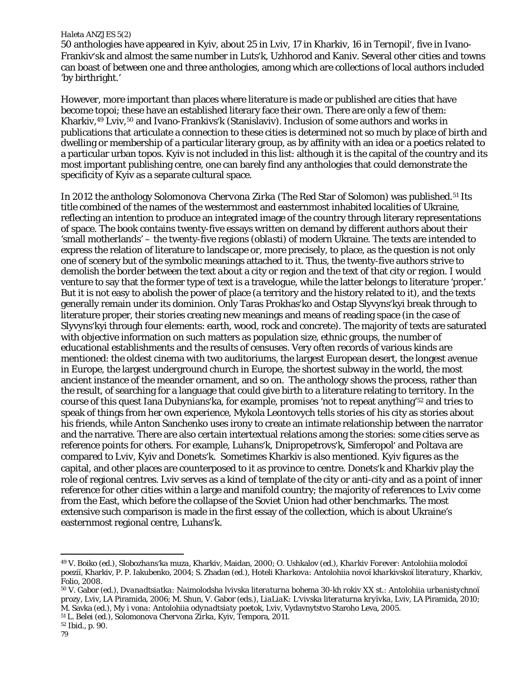50 anthologies have appeared in Kyiv, about 25 in Lviv, 17 in Kharkiv, 16 in Ternopilʹ, five in Ivano-Frankivʹsk and almost the same number in Lutsʹk, Uzhhorod and Kaniv. Several other cities and towns can boast of between one and three anthologies, among which are collections of local authors included 'by birthright.'

However, more important than places where literature is made or published are cities that have become topoi; these have an established literary face their own. There are only a few of them: Kharkiv,<sup>[49](#page-8-0)</sup> Lviv,<sup>[50](#page-8-1)</sup> and Ivano-Frankivs'k (Stanislaviv). Inclusion of some authors and works in publications that articulate a connection to these cities is determined not so much by place of birth and dwelling or membership of a particular literary group, as by affinity with an idea or a poetics related to a particular urban topos. Kyiv is not included in this list: although it is the capital of the country and its most important publishing centre, one can barely find any anthologies that could demonstrate the specificity of Kyiv as a separate cultural space.

In 2012 the anthology *Solomonova Chervona Zirka* (The Red Star of Solomon) was published*.*[51](#page-8-2) Its title combined of the names of the westernmost and easternmost inhabited localities of Ukraine, reflecting an intention to produce an integrated image of the country through literary representations of space. The book contains twenty-five essays written on demand by different authors about their 'small motherlands' – the twenty-five regions (*oblasti*) of modern Ukraine. The texts are intended to express the relation of literature to landscape or, more precisely, to place, as the question is not only one of scenery but of the symbolic meanings attached to it. Thus, the twenty-five authors strive to demolish the border between the text *about* a city or region and the text *of* that city or region. I would venture to say that the former type of text is a travelogue, while the latter belongs to literature 'proper.' But it is not easy to abolish the power of place (a territory and the history related to it), and the texts generally remain under its dominion. Only Taras Prokhasʹko and Ostap Slyvynsʹkyi break through to literature proper, their stories creating new meanings and means of reading space (in the case of Slyvynsʹkyi through four elements: earth, wood, rock and concrete). The majority of texts are saturated with objective information on such matters as population size, ethnic groups, the number of educational establishments and the results of censuses. Very often records of various kinds are mentioned: the oldest cinema with two auditoriums, the largest European desert, the longest avenue in Europe, the largest underground church in Europe, the shortest subway in the world, the most ancient instance of the meander ornament, and so on. The anthology shows the process, rather than the result, of searching for a language that could give birth to a literature relating to territory. In the course of this quest Iana Dubyniansʹka, for example, promises 'not to repeat anything'*[52](#page-8-3)* and tries to speak of things from her own experience, Mykola Leontovych tells stories of his city as stories about his friends, while Anton Sanchenko uses irony to create an intimate relationship between the narrator and the narrative. There are also certain intertextual relations among the stories: some cities serve as reference points for others. For example, Luhansʹk, Dnipropetrovsʹk, Simferopolʹ and Poltava are compared to Lviv, Kyiv and Donetsʹk. Sometimes Kharkiv is also mentioned. Kyiv figures as the capital, and other places are counterposed to it as province to centre. Donetsʹk and Kharkiv play the role of regional centres. Lviv serves as a kind of template of the city or anti-city and as a point of inner reference for other cities within a large and manifold country; the majority of references to Lviv come from the East, which before the collapse of the Soviet Union had other benchmarks. The most extensive such comparison is made in the first essay of the collection, which is about Ukraine's easternmost regional centre, Luhansʹk.

<span id="page-8-0"></span><sup>49</sup> V. Boiko (ed.), *Slobozhansʹka muza*, Kharkiv, Maidan, 2000; O. Ushkalov (ed.), *Kharkiv Forever*: Antolohiia molodoï poeziï, Kharkiv, P. P. Iakubenko, 2004; S. Zhadan (ed.), *Hoteli Kharkova: Antolohiia novoï kharkivskoï literatury*, Kharkiv, Folio, 2008.

<span id="page-8-1"></span><sup>50</sup> V. Gabor (ed.), *Dvanadtsiatka: Naimolodsha lvivska literaturna bohema 30-kh rokiv XX st.: Antolohiia urbanistychnoï prozy*, Lviv, LA Piramida, 2006; M. Shun, V. Gabor (eds.), *LiaLiaK: Lʹvivska literaturna kryïvka*, Lviv, LA Piramida, 2010; M. Savka (ed.), *My i vona: Antolohiia odynadtsiaty poetok*, Lviv, Vydavnytstvo Staroho Leva, 2005.

<span id="page-8-3"></span><span id="page-8-2"></span><sup>51</sup> L. Belei (ed.), *Solomonova Chervona Zirka*, Kyiv, Tempora, 2011.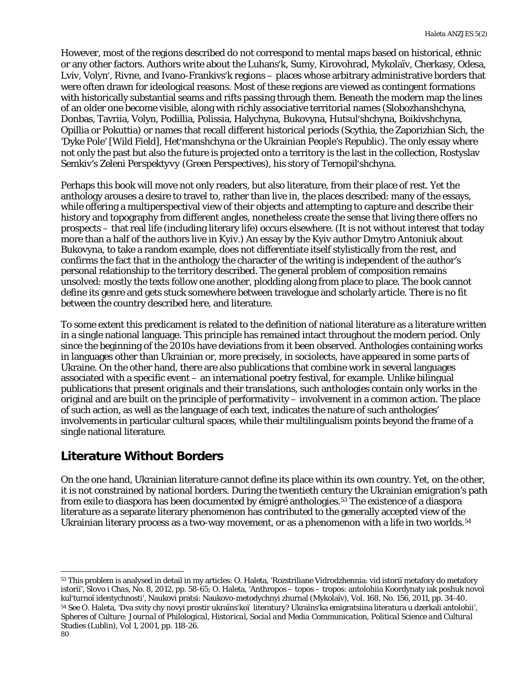However, most of the regions described do not correspond to mental maps based on historical, ethnic or any other factors. Authors write about the Luhansʹk, Sumy, Kirovohrad, Mykolaïv, Cherkasy, Odesa, Lviv, Volynʹ, Rivne, and Ivano-Frankivsʹk regions – places whose arbitrary administrative borders that were often drawn for ideological reasons. Most of these regions are viewed as contingent formations with historically substantial seams and rifts passing through them. Beneath the modern map the lines of an older one become visible, along with richly associative territorial names (Slobozhanshchyna, Donbas, Tavriia, Volyn, Podillia, Polissia, Halychyna, Bukovyna, Hutsulʹshchyna, Boikivshchyna, Opillia or Pokuttia) or names that recall different historical periods (Scythia, the Zaporizhian Sich, the 'Dyke Pole' [Wild Field], Hetʹmanshchyna or the Ukrainian People's Republic). The only essay where not only the past but also the future is projected onto a territory is the last in the collection, Rostyslav Semkiv's *Zeleni Perspektyvy* (Green Perspectives), his story of Ternopilʹshchyna.

Perhaps this book will move not only readers, but also literature, from their place of rest. Yet the anthology arouses a desire to travel to, rather than live in, the places described: many of the essays, while offering a multiperspectival view of their objects and attempting to capture and describe their history and topography from different angles, nonetheless create the sense that living there offers no prospects – that real life (including literary life) occurs elsewhere. (It is not without interest that today more than a half of the authors live in Kyiv.) An essay by the Kyiv author Dmytro Antoniuk about Bukovyna, to take a random example, does not differentiate itself stylistically from the rest, and confirms the fact that in the anthology the character of the writing is independent of the author's personal relationship to the territory described. The general problem of composition remains unsolved: mostly the texts follow one another, plodding along from place to place. The book cannot define its genre and gets stuck somewhere between travelogue and scholarly article. There is no fit between the country described here, and literature.

To some extent this predicament is related to the definition of national literature as a literature written in a single national language. This principle has remained intact throughout the modern period. Only since the beginning of the 2010s have deviations from it been observed. Anthologies containing works in languages other than Ukrainian or, more precisely, in sociolects, have appeared in some parts of Ukraine. On the other hand, there are also publications that combine work in several languages associated with a specific event – an international poetry festival, for example. Unlike bilingual publications that present originals and their translations, such anthologies contain only works in the original and are built on the principle of performativity – involvement in a common action. The place of such action, as well as the language of each text, indicates the nature of such anthologies' involvements in particular cultural spaces, while their multilingualism points beyond the frame of a single national literature.

### **Literature Without Borders**

On the one hand, Ukrainian literature cannot define its place within its own country. Yet, on the other, it is not constrained by national borders. During the twentieth century the Ukrainian emigration's path from exile to diaspora has been documented by émigré anthologies.[53](#page-9-0) The existence of a diaspora literature as a separate literary phenomenon has contributed to the generally accepted view of the Ukrainian literary process as a two-way movement, or as a phenomenon with a life in two worlds.<sup>[54](#page-9-1)</sup>

<span id="page-9-1"></span><span id="page-9-0"></span><sup>53</sup> This problem is analysed in detail in my articles: O. Haleta, 'Rozstriliane Vidrodzhennia: vid istoriï metafory do metafory istoriï', *Slovo i Chas*, No. 8, 2012, pp. 58-65; O. Haleta, 'Anthropos – topos – tropos: antolohiia Koordynaty iak poshuk novoï 54 See O. Haleta, 'Dva svity chy novyi prostir ukraïns'koï literatury? Ukraïns'ka emigratsiina literatura u dzerkali antolohii', *Spheres of Culture: Journal of Philological, Historical, Social and Media Communication, Political Science and Cultural Studies (Lublin)*, Vol 1, 2001, pp. 118-26. 80 l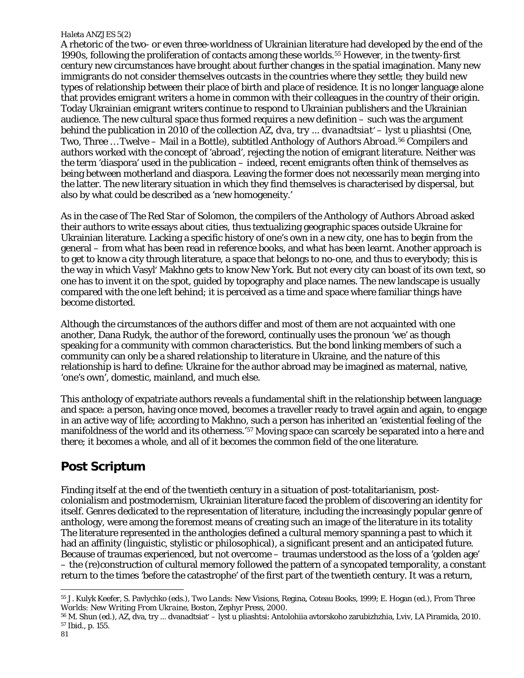A rhetoric of the two- or even three-worldness of Ukrainian literature had developed by the end of the 1990s, following the proliferation of contacts among these worlds.[55](#page-10-0) However, in the twenty-first century new circumstances have brought about further changes in the spatial imagination. Many new immigrants do not consider themselves outcasts in the countries where they settle; they build new types of relationship between their place of birth and place of residence. It is no longer language alone that provides emigrant writers a home in common with their colleagues in the country of their origin. Today Ukrainian emigrant writers continue to respond to Ukrainian publishers and the Ukrainian audience. The new cultural space thus formed requires a new definition – such was the argument behind the publication in 2010 of the collection *AZ, dva, try ... dvanadtsiatʹ – lyst u pliashtsi* (One, Two, Three … Twelve – Mail in a Bottle), subtitled *Anthology of Authors Abroad*.[56](#page-10-1) Compilers and authors worked with the concept of 'abroad', rejecting the notion of emigrant literature. Neither was the term 'diaspora' used in the publication – indeed, recent emigrants often think of themselves as being *between* motherland and diaspora. Leaving the former does not necessarily mean merging into the latter. The new literary situation in which they find themselves is characterised by dispersal, but also by what could be described as a 'new homogeneity.'

As in the case of *The Red Star of Solomon*, the compilers of the *Anthology of Authors Abroad* asked their authors to write essays about cities, thus textualizing geographic spaces outside Ukraine for Ukrainian literature. Lacking a specific history of one's own in a new city, one has to begin from the general – from what has been read in reference books, and what has been learnt. Another approach is to get to know a city through literature, a space that belongs to no-one, and thus to everybody; this is the way in which Vasylʹ Makhno gets to know New York. But not every city can boast of its own text, so one has to invent it on the spot, guided by topography and place names. The new landscape is usually compared with the one left behind; it is perceived as a time and space where familiar things have become distorted.

Although the circumstances of the authors differ and most of them are not acquainted with one another, Dana Rudyk, the author of the foreword, continually uses the pronoun 'we' as though speaking for a community with common characteristics. But the bond linking members of such a community can only be a shared relationship to literature in Ukraine, and the nature of this relationship is hard to define: Ukraine for the author abroad may be imagined as maternal, native, 'one's own', domestic, mainland, and much else.

This anthology of expatriate authors reveals a fundamental shift in the relationship between language and space: a person, having once moved, becomes a traveller ready to travel again and again, to engage in an active way of life; according to Makhno, such a person has inherited an 'existential feeling of the manifoldness of the world and its otherness.['57](#page-10-2) Moving space can scarcely be separated into a *here* and *there*; it becomes a whole, and all of it becomes the common field of the one literature.

### **Post Scriptum**

Finding itself at the end of the twentieth century in a situation of post-totalitarianism, postcolonialism and postmodernism, Ukrainian literature faced the problem of discovering an identity for itself. Genres dedicated to the representation of literature, including the increasingly popular genre of anthology, were among the foremost means of creating such an image of the literature in its totality The literature represented in the anthologies defined a cultural memory spanning a past to which it had an affinity (linguistic, stylistic or philosophical), a significant present and an anticipated future. Because of traumas experienced, but not overcome – traumas understood as the loss of a 'golden age' – the (re)construction of cultural memory followed the pattern of a syncopated temporality, a constant return to the times 'before the catastrophe' of the first part of the twentieth century. It was a return,

<span id="page-10-0"></span><sup>55</sup> J. Kulyk Keefer, S. Pavlychko (eds.), *Two Lands: New Visions*, Regina, Coteau Books, 1999; E. Hogan (ed.), *From Three Worlds: New Writing From Ukraine*, Boston, Zephyr Press, 2000.

<span id="page-10-2"></span><span id="page-10-1"></span><sup>56</sup> M. Shun (ed.), AZ, dva, try ... dvanadtsiatʹ – lyst u pliashtsi: Antolohiia avtorskoho zarubizhzhia, Lviv, LA Piramida, 2010. <sup>57</sup> Ibid., p. 155.